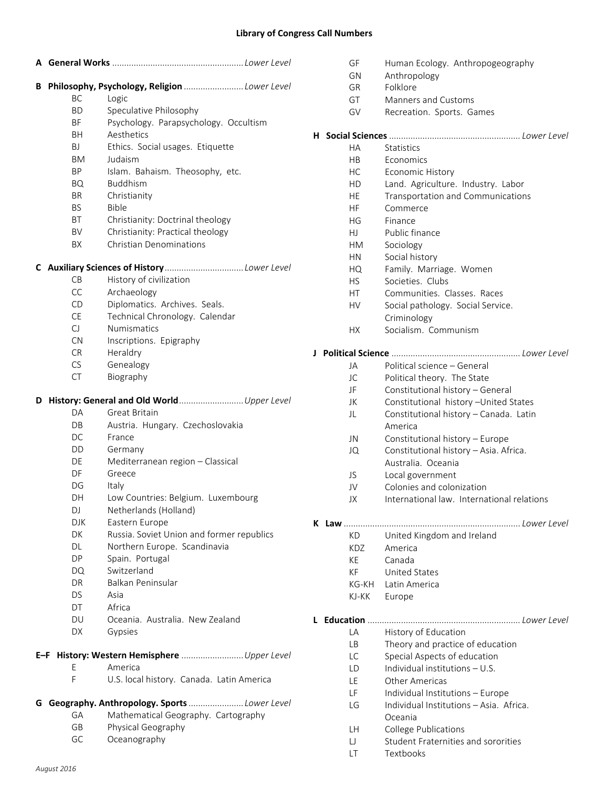## **Library of Congress Call Numbers**

| В         | Philosophy, Psychology, Religion Lower Level |
|-----------|----------------------------------------------|
| BC.       | Logic                                        |
| <b>BD</b> | Speculative Philosophy                       |
| <b>BF</b> | Psychology. Parapsychology. Occultism        |
| <b>BH</b> | Aesthetics                                   |
| BJ        | Ethics. Social usages. Etiquette             |
| ВM        | Judaism                                      |
| ΒP        | Islam. Bahaism. Theosophy, etc.              |
| BQ        | <b>Buddhism</b>                              |
| BR.       | Christianity                                 |
| BS.       | Bible                                        |
| ВT        | Christianity: Doctrinal theology             |
| BV        | Christianity: Practical theology             |
| BX        | <b>Christian Denominations</b>               |
|           |                                              |
| CВ        | History of civilization                      |
| <b>CC</b> | Archaeology                                  |
| CD        | Diplomatics. Archives. Seals.                |
| <b>CE</b> | Technical Chronology. Calendar               |
| CJ        | <b>Numismatics</b>                           |
| <b>CN</b> | Inscriptions. Epigraphy                      |
| <b>CR</b> | Heraldry                                     |
| <b>CS</b> | Genealogy                                    |
| <b>CT</b> | Biography                                    |
| D         |                                              |
| DA        | Great Britain                                |
| DB        | Austria. Hungary. Czechoslovakia             |
| DC        | France                                       |
| DD        | Germany                                      |
| DE        | Mediterranean region - Classical             |
| DF        | Greece                                       |
| DG        | Italy                                        |
| DН        | Low Countries: Belgium. Luxembourg           |
| DJ        | Netherlands (Holland)                        |
|           | DJK<br>Eastern Europe                        |
| DK        | Russia. Soviet Union and former republics    |
| DL        | Northern Europe. Scandinavia                 |
| <b>DP</b> | Spain. Portugal                              |
| DQ        | Switzerland                                  |
| DR        | Balkan Peninsular                            |
| DS.       | Asia                                         |
| <b>DT</b> | Africa                                       |
| DU        | Oceania. Australia. New Zealand              |
| DX        | Gypsies                                      |
|           | E-F History: Western Hemisphere  Upper Level |
| E         | America                                      |
|           | U.S. local history. Canada. Latin America    |
| F         |                                              |
|           | Geography. Anthropology. Sports Lower Level  |
| GA        | Mathematical Geography. Cartography          |
| G<br>GB   | Physical Geography                           |

|    | GF<br>GΝ<br>GR | Human Ecology. Anthropogeography<br>Anthropology<br>Folklore |  |  |  |
|----|----------------|--------------------------------------------------------------|--|--|--|
|    | GT             | <b>Manners and Customs</b>                                   |  |  |  |
|    | GV             |                                                              |  |  |  |
|    |                | Recreation. Sports. Games                                    |  |  |  |
|    |                |                                                              |  |  |  |
|    | НA             | <b>Statistics</b>                                            |  |  |  |
|    | НB             | Economics                                                    |  |  |  |
|    | HC             |                                                              |  |  |  |
|    |                | Economic History                                             |  |  |  |
|    | HD             | Land. Agriculture. Industry. Labor                           |  |  |  |
|    | HE             | Transportation and Communications                            |  |  |  |
|    | HF             | Commerce                                                     |  |  |  |
|    | НG             | Finance                                                      |  |  |  |
|    | HJ.            | Public finance                                               |  |  |  |
|    | НM             | Sociology                                                    |  |  |  |
|    | HN.            | Social history                                               |  |  |  |
|    | HQ.            | Family. Marriage. Women                                      |  |  |  |
|    | <b>HS</b>      | Societies, Clubs                                             |  |  |  |
|    | HT             | Communities, Classes, Races                                  |  |  |  |
| HV |                | Social pathology. Social Service.                            |  |  |  |
|    |                | Criminology                                                  |  |  |  |
|    | НX             | Socialism. Communism                                         |  |  |  |
|    |                |                                                              |  |  |  |
| J  |                |                                                              |  |  |  |
|    | JA             | Political science - General                                  |  |  |  |
|    | JC             | Political theory. The State                                  |  |  |  |
|    | JF             | Constitutional history - General                             |  |  |  |
|    | JK             | Constitutional history - United States                       |  |  |  |
|    | JL             | Constitutional history - Canada. Latin<br>America            |  |  |  |
|    | JN             | Constitutional history - Europe                              |  |  |  |
|    | JQ             | Constitutional history - Asia. Africa.                       |  |  |  |
|    |                | Australia. Oceania                                           |  |  |  |
|    | JS.            | Local government                                             |  |  |  |
|    | JV             | Colonies and colonization                                    |  |  |  |
|    | JΧ             | International law. International relations                   |  |  |  |
|    |                |                                                              |  |  |  |
|    | K Law.         | Lower Level                                                  |  |  |  |
|    | KD             | United Kingdom and Ireland                                   |  |  |  |
|    | KDZ            | America                                                      |  |  |  |
|    | KE             | Canada                                                       |  |  |  |
|    | KF             | <b>United States</b>                                         |  |  |  |
|    | KG-KH          | Latin America                                                |  |  |  |
|    | KJ-KK          | Europe                                                       |  |  |  |
|    |                |                                                              |  |  |  |
|    |                |                                                              |  |  |  |
|    | LA             | History of Education                                         |  |  |  |
|    | LВ             | Theory and practice of education                             |  |  |  |
|    | LC             | Special Aspects of education                                 |  |  |  |
|    | LD             | Individual institutions - U.S.                               |  |  |  |
|    | LE             | Other Americas                                               |  |  |  |
|    | LF             | Individual Institutions - Europe                             |  |  |  |
|    | LG             | Individual Institutions - Asia. Africa.                      |  |  |  |
|    |                | Oceania                                                      |  |  |  |
|    | LН             | College Publications                                         |  |  |  |
|    | IJ             | Student Fraternities and sororities                          |  |  |  |
|    | LΤ             | Textbooks                                                    |  |  |  |